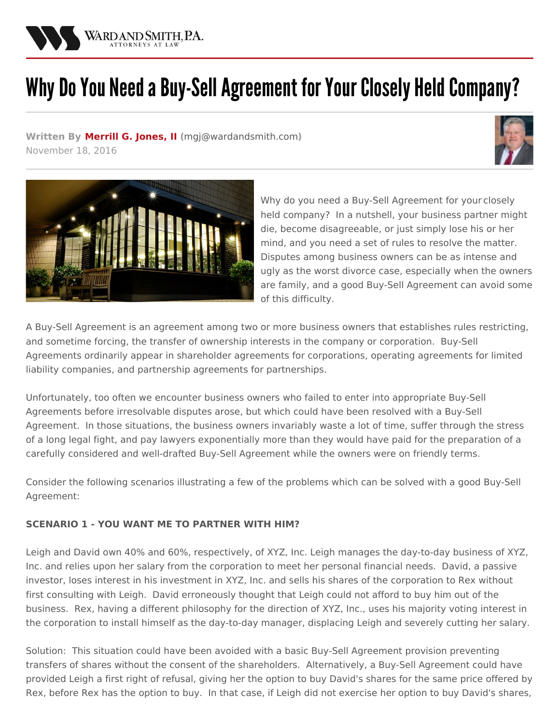

# Why Do You Need a Buy-Sell Agreement for Your Closely Held Company?

**Written By [Merrill](/attorneys/merrill-jones) G. Jones, II (**[mgj@wardandsmith.com](mailto:mgj@wardandsmith.com)**)** November 18, 2016





Why do you need a Buy-Sell [Agreement](http://www.wardandsmith.com/practices/business) for your closely held company? In a nutshell, your business partner might die, become disagreeable, or just simply lose his or her mind, and you need a set of rules to resolve the matter. Disputes among business owners can be as intense and ugly as the worst [divorce](http://www.wardandsmith.com/practices/family-law) case, especially when the owners are family, and a good Buy-Sell Agreement can avoid some of this difficulty.

A Buy-Sell Agreement is an agreement among two or more business owners that establishes rules restricting, and sometime forcing, the transfer of ownership interests in the company or corporation. Buy-Sell Agreements ordinarily appear in shareholder agreements for [corporations,](http://www.wardandsmith.com/articles/new-NC-LLC-act-time-to-update-your-operating-agreement) operating agreements for limited liability companies, and partnership agreements for partnerships.

Unfortunately, too often we encounter business owners who failed to enter into appropriate Buy-Sell Agreements before irresolvable disputes arose, but which could have been resolved with a Buy-Sell Agreement. In those situations, the business owners invariably waste a lot of time, suffer through the stress of a long legal fight, and pay lawyers exponentially more than they would have paid for the preparation of a carefully considered and well-drafted Buy-Sell Agreement while the owners were on friendly terms.

Consider the following scenarios illustrating a few of the problems which can be solved with a good Buy-Sell Agreement:

## **SCENARIO 1 - YOU WANT ME TO PARTNER WITH HIM?**

Leigh and David own 40% and 60%, respectively, of XYZ, Inc. Leigh manages the day-to-day business of XYZ, Inc. and relies upon her salary from the corporation to meet her personal financial needs. David, a passive investor, loses interest in his investment in XYZ, Inc. and sells his shares of the corporation to Rex without first consulting with Leigh. David erroneously thought that Leigh could not afford to buy him out of the business. Rex, having a different philosophy for the direction of XYZ, Inc., uses his majority voting interest in the corporation to install himself as the day-to-day manager, displacing Leigh and severely cutting her salary.

Solution: This situation could have been avoided with a basic Buy-Sell Agreement provision preventing transfers of shares without the consent of the shareholders. Alternatively, a Buy-Sell Agreement could have provided Leigh a first right of refusal, giving her the option to buy David's shares for the same price offered by Rex, before Rex has the option to buy. In that case, if Leigh did not exercise her option to buy David's shares,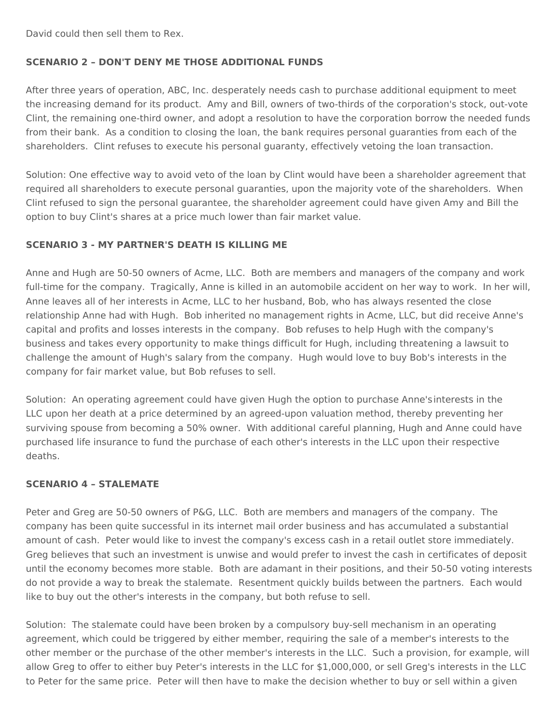David could then sell them to Rex.

## **SCENARIO 2 – DON'T DENY ME THOSE ADDITIONAL FUNDS**

After three years of operation, ABC, Inc. desperately needs cash to purchase additional equipment to meet the increasing demand for its product. Amy and Bill, owners of two-thirds of the corporation's stock, out-vote Clint, the remaining one-third owner, and adopt a resolution to have the corporation borrow the needed funds from their bank. As a condition to closing the loan, the bank requires personal guaranties from each of the shareholders. Clint refuses to execute his personal guaranty, effectively vetoing the loan transaction.

Solution: One effective way to avoid veto of the loan by Clint would have been a shareholder agreement that required all shareholders to execute personal guaranties, upon the majority vote of the shareholders. When Clint refused to sign the personal guarantee, the shareholder agreement could have given Amy and Bill the option to buy Clint's shares at a price much lower than fair market value.

#### **SCENARIO 3 - MY PARTNER'S DEATH IS KILLING ME**

Anne and Hugh are 50-50 owners of Acme, LLC. Both are members and managers of the company and work full-time for the company. Tragically, Anne is killed in an automobile accident on her way to work. In her will, Anne leaves all of her interests in Acme, LLC to her husband, Bob, who has always resented the close relationship Anne had with Hugh. Bob inherited no management rights in Acme, LLC, but did receive Anne's capital and profits and losses interests in the company. Bob refuses to help Hugh with the company's business and takes every opportunity to make things difficult for Hugh, including threatening a lawsuit to challenge the amount of Hugh's salary from the company. Hugh would love to buy Bob's interests in the company for fair market value, but Bob refuses to sell.

Solution: An operating agreement could have given Hugh the option to purchase [Anne'sinterests](http://www.wardandsmith.com/articles/use-of-limited-liability-companies-in-estate-planning) in the LLC upon her death at a price determined by an agreed-upon valuation method, thereby preventing her surviving spouse from becoming a 50% owner. With additional careful [planning](http://www.wardandsmith.com/practices/trusts-and-estates), Hugh and Anne could have purchased life insurance to fund the purchase of each other's interests in the LLC upon their respective deaths.

## **SCENARIO 4 – STALEMATE**

Peter and Greg are 50-50 owners of P&G, LLC. Both are members and managers of the company. The company has been quite successful in its internet mail order business and has accumulated a substantial amount of cash. Peter would like to invest the company's excess cash in a retail outlet store immediately. Greg believes that such an investment is unwise and would prefer to invest the cash in certificates of deposit until the economy becomes more stable. Both are adamant in their positions, and their 50-50 voting interests do not provide a way to break the stalemate. Resentment quickly builds between the partners. Each would like to buy out the other's interests in the company, but both refuse to sell.

Solution: The stalemate could have been broken by a compulsory buy-sell mechanism in an operating agreement, which could be triggered by either member, requiring the sale of a member's interests to the other member or the purchase of the other member's interests in the LLC. Such a provision, for example, will allow Greg to offer to either buy Peter's interests in the LLC for \$1,000,000, or sell Greg's interests in the LLC to Peter for the same price. Peter will then have to make the decision whether to buy or sell within a given